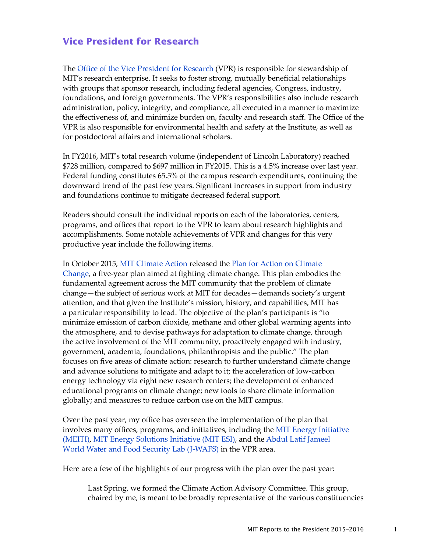## **Vice President for Research**

The [Office of the Vice President for Research](http://research.mit.edu
) (VPR) is responsible for stewardship of MIT's research enterprise. It seeks to foster strong, mutually beneficial relationships with groups that sponsor research, including federal agencies, Congress, industry, foundations, and foreign governments. The VPR's responsibilities also include research administration, policy, integrity, and compliance, all executed in a manner to maximize the effectiveness of, and minimize burden on, faculty and research staff. The Office of the VPR is also responsible for environmental health and safety at the Institute, as well as for postdoctoral affairs and international scholars.

In FY2016, MIT's total research volume (independent of Lincoln Laboratory) reached \$728 million, compared to \$697 million in FY2015. This is a 4.5% increase over last year. Federal funding constitutes 65.5% of the campus research expenditures, continuing the downward trend of the past few years. Significant increases in support from industry and foundations continue to mitigate decreased federal support.

Readers should consult the individual reports on each of the laboratories, centers, programs, and offices that report to the VPR to learn about research highlights and accomplishments. Some notable achievements of VPR and changes for this very productive year include the following items.

In October 2015, [MIT Climate Action](http://climateaction.mit.edu/) released the [Plan for Action on Climate](http://web.mit.edu/climateaction/ClimateChangeStatement-2015Oct21.pdf)  [Change](http://web.mit.edu/climateaction/ClimateChangeStatement-2015Oct21.pdf), a five-year plan aimed at fighting climate change. This plan embodies the fundamental agreement across the MIT community that the problem of climate change—the subject of serious work at MIT for decades—demands society's urgent attention, and that given the Institute's mission, history, and capabilities, MIT has a particular responsibility to lead. The objective of the plan's participants is "to minimize emission of carbon dioxide, methane and other global warming agents into the atmosphere, and to devise pathways for adaptation to climate change, through the active involvement of the MIT community, proactively engaged with industry, government, academia, foundations, philanthropists and the public." The plan focuses on five areas of climate action: research to further understand climate change and advance solutions to mitigate and adapt to it; the acceleration of low-carbon energy technology via eight new research centers; the development of enhanced educational programs on climate change; new tools to share climate information globally; and measures to reduce carbon use on the MIT campus.

Over the past year, my office has overseen the implementation of the plan that involves many offices, programs, and initiatives, including the [MIT Energy Initiative](http://energy.mit.edu/)  [\(MEITI\),](http://energy.mit.edu/) [MIT Energy Solutions Initiative \(MIT ESI\)](https://environmentalsolutions.mit.edu/), and the [Abdul Latif Jameel](http://jwafs.mit.edu/)  [World Water and Food Security Lab \(J-WAFS\)](http://jwafs.mit.edu/) in the VPR area.

Here are a few of the highlights of our progress with the plan over the past year:

Last Spring, we formed the Climate Action Advisory Committee. This group, chaired by me, is meant to be broadly representative of the various constituencies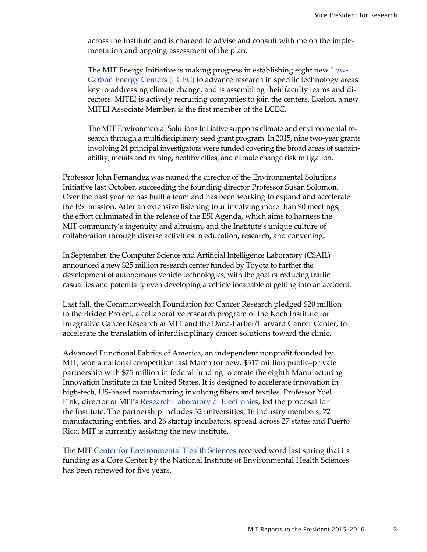across the Institute and is charged to advise and consult with me on the implementation and ongoing assessment of the plan.

The MIT Energy Initiative is making progress in establishing eight new [Low-](https://energy.mit.edu/lcec/)[Carbon Energy Centers \(LCEC\)](https://energy.mit.edu/lcec/) to advance research in specific technology areas key to addressing climate change, and is assembling their faculty teams and directors. MITEI is actively recruiting companies to join the centers. Exelon, a new MITEI Associate Member, is the first member of the LCEC.

The MIT Environmental Solutions Initiative supports climate and environmental research through a multidisciplinary seed grant program. In 2015, nine two-year grants involving 24 principal investigators were funded covering the broad areas of sustainability, metals and mining, healthy cities, and climate change risk mitigation.

Professor John Fernandez was named the director of the Environmental Solutions Initiative last October, succeeding the founding director Professor Susan Solomon. Over the past year he has built a team and has been working to expand and accelerate the ESI mission. After an extensive listening tour involving more than 90 meetings, the effort culminated in the release of the ESI Agenda, which aims to harness the MIT community's ingenuity and altruism, and the Institute's unique culture of collaboration through diverse activities in education**,** research**,** and convening**.**

In September, the [Computer Science and Artificial Intelligence Laboratory](https://www.csail.mit.edu/) (CSAIL) announced a new \$25 million research center funded by Toyota to further the development of autonomous vehicle technologies, with the goal of reducing traffic casualties and potentially even developing a vehicle incapable of getting into an accident.

Last fall, the Commonwealth Foundation for Cancer Research pledged \$20 million to the Bridge Project, a collaborative research program of the Koch Institute for Integrative Cancer Research at MIT and the Dana-Farber/Harvard Cancer Center, to accelerate the translation of interdisciplinary cancer solutions toward the clinic.

Advanced Functional Fabrics of America, an independent nonprofit founded by MIT, won a national competition last March for new, \$317 million public–private partnership with \$75 million in federal funding to create the eighth Manufacturing Innovation Institute in the United States. It is designed to accelerate innovation in high-tech, US-based manufacturing involving fibers and textiles. Professor Yoel Fink, director of MIT's [Research Laboratory of Electronics,](http://www.rle.mit.edu/) led the proposal for the Institute. The partnership includes 32 universities, 16 industry members, 72 manufacturing entities, and 26 startup incubators, spread across 27 states and Puerto Rico. MIT is currently assisting the new institute.

The MIT [Center for Environmental Health Sciences](http://cehs.mit.edu/) received word last spring that its funding as a Core Center by the National Institute of Environmental Health Sciences has been renewed for five years.